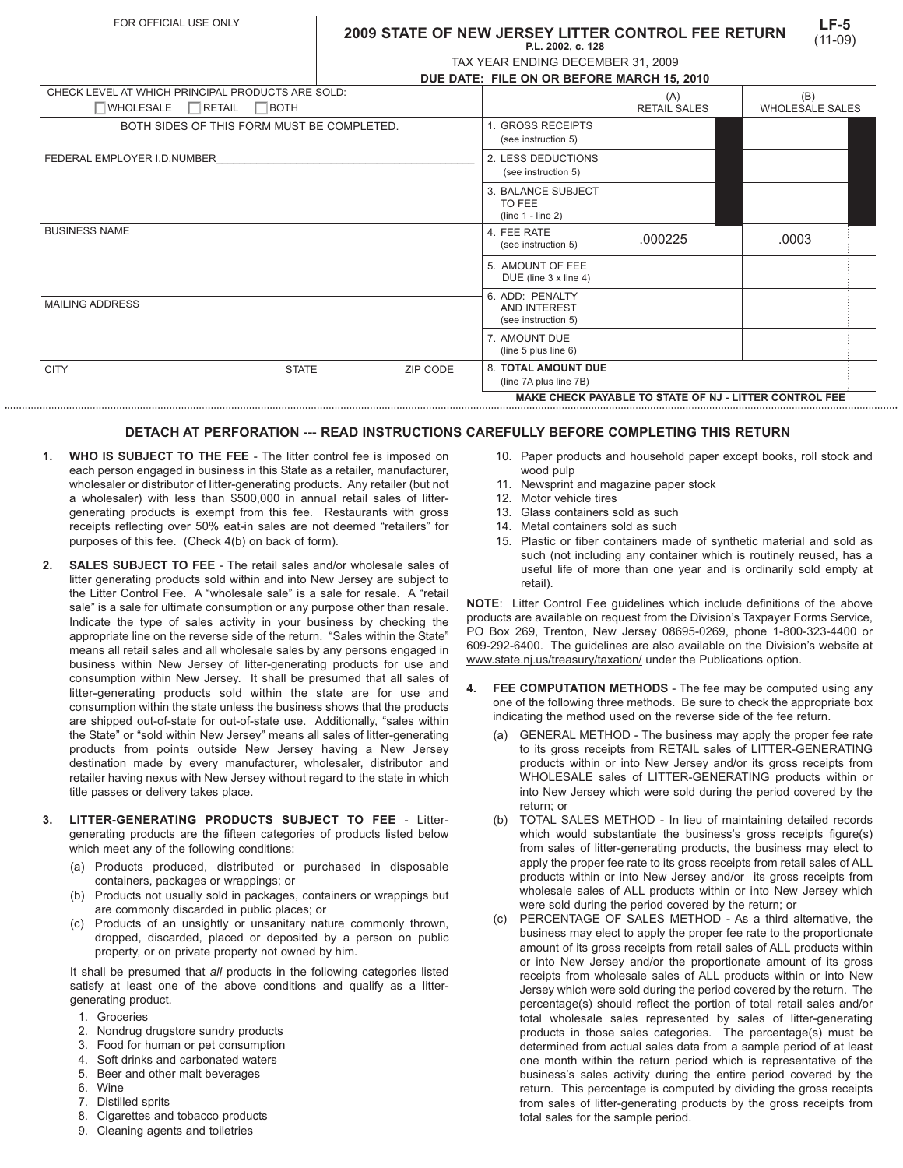## **LF-5** (11-09) **2009 STATE OF NEW JERSEY LITTER CONTROL FEE RETURN P.L. 2002, c. 128**

| TAX YEAR ENDING DECEMBER 31, 2009 |  |
|-----------------------------------|--|

|                                                                                 |                                            | DUE DATE: FILE ON OR BEFORE MARCH 15, 2010 |                                                        |                            |                               |  |  |
|---------------------------------------------------------------------------------|--------------------------------------------|--------------------------------------------|--------------------------------------------------------|----------------------------|-------------------------------|--|--|
| CHECK LEVEL AT WHICH PRINCIPAL PRODUCTS ARE SOLD:<br><b>WHOLESALE</b><br>RETAIL | BOTH                                       |                                            |                                                        | (A)<br><b>RETAIL SALES</b> | (B)<br><b>WHOLESALE SALES</b> |  |  |
|                                                                                 |                                            |                                            |                                                        |                            |                               |  |  |
|                                                                                 | BOTH SIDES OF THIS FORM MUST BE COMPLETED. |                                            | <b>GROSS RECEIPTS</b><br>(see instruction 5)           |                            |                               |  |  |
| FEDERAL EMPLOYER I.D.NUMBER                                                     |                                            |                                            | 2. LESS DEDUCTIONS<br>(see instruction 5)              |                            |                               |  |  |
|                                                                                 |                                            |                                            | 3. BALANCE SUBJECT<br>TO FEE<br>$(line 1 - line 2)$    |                            |                               |  |  |
| <b>BUSINESS NAME</b>                                                            |                                            |                                            | 4. FEE RATE<br>(see instruction 5)                     | .000225                    | .0003                         |  |  |
|                                                                                 |                                            |                                            | 5. AMOUNT OF FEE<br>DUE (line 3 x line 4)              |                            |                               |  |  |
| <b>MAILING ADDRESS</b>                                                          |                                            |                                            | 6. ADD: PENALTY<br>AND INTEREST<br>(see instruction 5) |                            |                               |  |  |
|                                                                                 |                                            |                                            | 7. AMOUNT DUE<br>(line $5$ plus line $6$ )             |                            |                               |  |  |
| <b>CITY</b>                                                                     | <b>STATE</b>                               | ZIP CODE                                   | <b>8. TOTAL AMOUNT DUE</b>                             |                            |                               |  |  |

## **DETACH AT PERFORATION --- READ INSTRUCTIONS CAREFULLY BEFORE COMPLETING THIS RETURN**

- **1. WHO IS SUBJECT TO THE FEE** The litter control fee is imposed on each person engaged in business in this State as a retailer, manufacturer, wholesaler or distributor of litter-generating products. Any retailer (but not a wholesaler) with less than \$500,000 in annual retail sales of littergenerating products is exempt from this fee. Restaurants with gross receipts reflecting over 50% eat-in sales are not deemed "retailers" for purposes of this fee. (Check 4(b) on back of form).
- **2. SALES SUBJECT TO FEE**  The retail sales and/or wholesale sales of litter generating products sold within and into New Jersey are subject to the Litter Control Fee. A "wholesale sale" is a sale for resale. A "retail sale" is a sale for ultimate consumption or any purpose other than resale. Indicate the type of sales activity in your business by checking the appropriate line on the reverse side of the return. "Sales within the State" means all retail sales and all wholesale sales by any persons engaged in business within New Jersey of litter-generating products for use and consumption within New Jersey. It shall be presumed that all sales of litter-generating products sold within the state are for use and consumption within the state unless the business shows that the products are shipped out-of-state for out-of-state use. Additionally, "sales within the State" or "sold within New Jersey" means all sales of litter-generating products from points outside New Jersey having a New Jersey destination made by every manufacturer, wholesaler, distributor and retailer having nexus with New Jersey without regard to the state in which title passes or delivery takes place.
- **3. LITTER-GENERATING PRODUCTS SUBJECT TO FEE** Littergenerating products are the fifteen categories of products listed below which meet any of the following conditions:
	- (a) Products produced, distributed or purchased in disposable containers, packages or wrappings; or
	- (b) Products not usually sold in packages, containers or wrappings but are commonly discarded in public places; or
	- (c) Products of an unsightly or unsanitary nature commonly thrown, dropped, discarded, placed or deposited by a person on public property, or on private property not owned by him.

It shall be presumed that *all* products in the following categories listed satisfy at least one of the above conditions and qualify as a littergenerating product.

- 1. Groceries
- 2. Nondrug drugstore sundry products
- 3. Food for human or pet consumption
- 4. Soft drinks and carbonated waters
- 5. Beer and other malt beverages
- 6. Wine
- 7. Distilled sprits
- 8. Cigarettes and tobacco products
- 9. Cleaning agents and toiletries

10. Paper products and household paper except books, roll stock and wood pulp

**MAKE CHECK PAYABLE TO STATE OF NJ - LITTER CONTROL FEE**

- 11. Newsprint and magazine paper stock
- 12. Motor vehicle tires

(line 7A plus line 7B)

- 13. Glass containers sold as such
- 14. Metal containers sold as such
- 15. Plastic or fiber containers made of synthetic material and sold as such (not including any container which is routinely reused, has a useful life of more than one year and is ordinarily sold empty at retail).

**NOTE**: Litter Control Fee guidelines which include definitions of the above products are available on request from the Division's Taxpayer Forms Service, PO Box 269, Trenton, New Jersey 08695-0269, phone 1-800-323-4400 or 609-292-6400. The guidelines are also available on the Division's website at www.state.nj.us/treasury/taxation/ under the Publications option.

- **4. FEE COMPUTATION METHODS** The fee may be computed using any one of the following three methods. Be sure to check the appropriate box indicating the method used on the reverse side of the fee return.
	- (a) GENERAL METHOD The business may apply the proper fee rate to its gross receipts from RETAIL sales of LITTER-GENERATING products within or into New Jersey and/or its gross receipts from WHOLESALE sales of LITTER-GENERATING products within or into New Jersey which were sold during the period covered by the return; or
	- (b) TOTAL SALES METHOD In lieu of maintaining detailed records which would substantiate the business's gross receipts figure(s) from sales of litter-generating products, the business may elect to apply the proper fee rate to its gross receipts from retail sales of ALL products within or into New Jersey and/or its gross receipts from wholesale sales of ALL products within or into New Jersey which were sold during the period covered by the return; or
	- (c) PERCENTAGE OF SALES METHOD As a third alternative, the business may elect to apply the proper fee rate to the proportionate amount of its gross receipts from retail sales of ALL products within or into New Jersey and/or the proportionate amount of its gross receipts from wholesale sales of ALL products within or into New Jersey which were sold during the period covered by the return. The percentage(s) should reflect the portion of total retail sales and/or total wholesale sales represented by sales of litter-generating products in those sales categories. The percentage(s) must be determined from actual sales data from a sample period of at least one month within the return period which is representative of the business's sales activity during the entire period covered by the return. This percentage is computed by dividing the gross receipts from sales of litter-generating products by the gross receipts from total sales for the sample period.